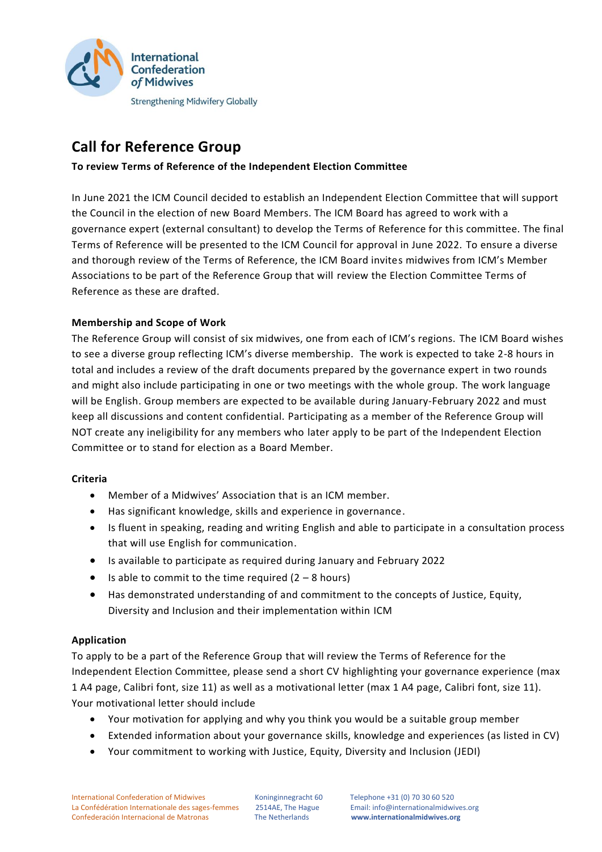

# **Call for Reference Group**

## **To review Terms of Reference of the Independent Election Committee**

In June 2021 the ICM Council decided to establish an Independent Election Committee that will support the Council in the election of new Board Members. The ICM Board has agreed to work with a governance expert (external consultant) to develop the Terms of Reference for this committee. The final Terms of Reference will be presented to the ICM Council for approval in June 2022. To ensure a diverse and thorough review of the Terms of Reference, the ICM Board invites midwives from ICM's Member Associations to be part of the Reference Group that will review the Election Committee Terms of Reference as these are drafted.

### **Membership and Scope of Work**

The Reference Group will consist of six midwives, one from each of ICM's regions. The ICM Board wishes to see a diverse group reflecting ICM's diverse membership. The work is expected to take 2-8 hours in total and includes a review of the draft documents prepared by the governance expert in two rounds and might also include participating in one or two meetings with the whole group. The work language will be English. Group members are expected to be available during January-February 2022 and must keep all discussions and content confidential. Participating as a member of the Reference Group will NOT create any ineligibility for any members who later apply to be part of the Independent Election Committee or to stand for election as a Board Member.

#### **Criteria**

- Member of a Midwives' Association that is an ICM member.
- Has significant knowledge, skills and experience in governance.
- Is fluent in speaking, reading and writing English and able to participate in a consultation process that will use English for communication.
- Is available to participate as required during January and February 2022
- Is able to commit to the time required  $(2 8$  hours)
- Has demonstrated understanding of and commitment to the concepts of Justice, Equity, Diversity and Inclusion and their implementation within ICM

## **Application**

To apply to be a part of the Reference Group that will review the Terms of Reference for the Independent Election Committee, please send a short CV highlighting your governance experience (max 1 A4 page, Calibri font, size 11) as well as a motivational letter (max 1 A4 page, Calibri font, size 11). Your motivational letter should include

- Your motivation for applying and why you think you would be a suitable group member
- Extended information about your governance skills, knowledge and experiences (as listed in CV)
- Your commitment to working with Justice, Equity, Diversity and Inclusion (JEDI)